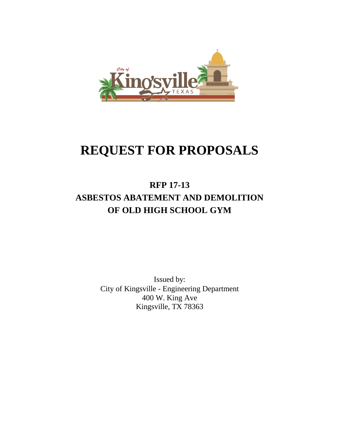

# **REQUEST FOR PROPOSALS**

## **RFP 17-13 ASBESTOS ABATEMENT AND DEMOLITION OF OLD HIGH SCHOOL GYM**

Issued by: City of Kingsville - Engineering Department 400 W. King Ave Kingsville, TX 78363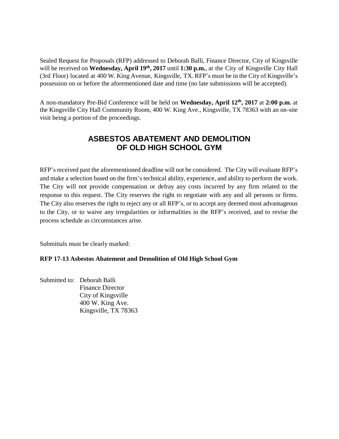Sealed Request for Proposals (RFP) addressed to Deborah Balli, Finance Director, City of Kingsville will be received on **Wednesday, April 19th, 2017** until **1:30 p.m.**, at the City of Kingsville City Hall (3rd Floor) located at 400 W. King Avenue, Kingsville, TX. RFP's must be in the City of Kingsville's possession on or before the aforementioned date and time (no late submissions will be accepted).

A non-mandatory Pre-Bid Conference will be held on **Wednesday, April 12th, 2017** at **2:00 p.m.** at the Kingsville City Hall Community Room, 400 W. King Ave., Kingsville, TX 78363 with an on-site visit being a portion of the proceedings.

#### **ASBESTOS ABATEMENT AND DEMOLITION OF OLD HIGH SCHOOL GYM**

RFP's received past the aforementioned deadline will not be considered. The City will evaluate RFP's and make a selection based on the firm's technical ability, experience, and ability to perform the work. The City will not provide compensation or defray any costs incurred by any firm related to the response to this request. The City reserves the right to negotiate with any and all persons or firms. The City also reserves the right to reject any or all RFP's, or to accept any deemed most advantageous to the City, or to waive any irregularities or informalities in the RFP's received, and to revise the process schedule as circumstances arise.

Submittals must be clearly marked:

#### **RFP 17-13 Asbestos Abatement and Demolition of Old High School Gym**

Submitted to: Deborah Balli Finance Director City of Kingsville 400 W. King Ave. Kingsville, TX 78363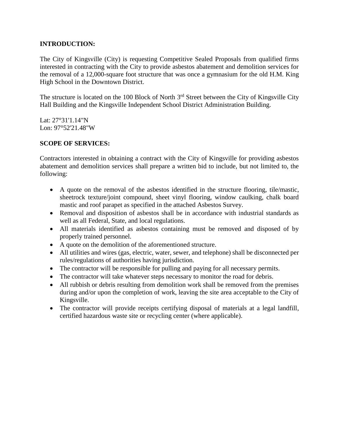#### **INTRODUCTION:**

The City of Kingsville (City) is requesting Competitive Sealed Proposals from qualified firms interested in contracting with the City to provide asbestos abatement and demolition services for the removal of a 12,000-square foot structure that was once a gymnasium for the old H.M. King High School in the Downtown District.

The structure is located on the 100 Block of North 3<sup>rd</sup> Street between the City of Kingsville City Hall Building and the Kingsville Independent School District Administration Building.

Lat: 27°31'1.14"N Lon: 97°52'21.48"W

#### **SCOPE OF SERVICES:**

Contractors interested in obtaining a contract with the City of Kingsville for providing asbestos abatement and demolition services shall prepare a written bid to include, but not limited to, the following:

- A quote on the removal of the asbestos identified in the structure flooring, tile/mastic, sheetrock texture/joint compound, sheet vinyl flooring, window caulking, chalk board mastic and roof parapet as specified in the attached Asbestos Survey.
- Removal and disposition of asbestos shall be in accordance with industrial standards as well as all Federal, State, and local regulations.
- All materials identified as asbestos containing must be removed and disposed of by properly trained personnel.
- A quote on the demolition of the aforementioned structure.
- All utilities and wires (gas, electric, water, sewer, and telephone) shall be disconnected per rules/regulations of authorities having jurisdiction.
- The contractor will be responsible for pulling and paying for all necessary permits.
- The contractor will take whatever steps necessary to monitor the road for debris.
- All rubbish or debris resulting from demolition work shall be removed from the premises during and/or upon the completion of work, leaving the site area acceptable to the City of Kingsville.
- The contractor will provide receipts certifying disposal of materials at a legal landfill, certified hazardous waste site or recycling center (where applicable).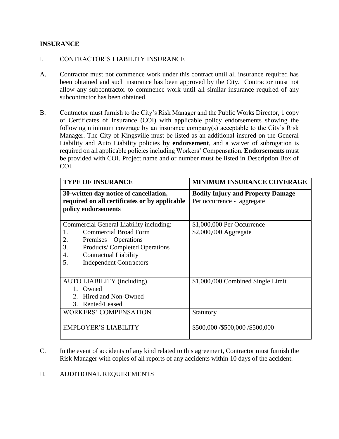#### **INSURANCE**

#### I. CONTRACTOR'S LIABILITY INSURANCE

- A. Contractor must not commence work under this contract until all insurance required has been obtained and such insurance has been approved by the City. Contractor must not allow any subcontractor to commence work until all similar insurance required of any subcontractor has been obtained.
- B. Contractor must furnish to the City's Risk Manager and the Public Works Director, 1 copy of Certificates of Insurance (COI) with applicable policy endorsements showing the following minimum coverage by an insurance company(s) acceptable to the City's Risk Manager. The City of Kingsville must be listed as an additional insured on the General Liability and Auto Liability policies **by endorsement**, and a waiver of subrogation is required on all applicable policies including Workers' Compensation. **Endorsements** must be provided with COI. Project name and or number must be listed in Description Box of COI.

| <b>TYPE OF INSURANCE</b>                                                                                                                                                                                                          | <b>MINIMUM INSURANCE COVERAGE</b>                                      |
|-----------------------------------------------------------------------------------------------------------------------------------------------------------------------------------------------------------------------------------|------------------------------------------------------------------------|
| 30-written day notice of cancellation,<br>required on all certificates or by applicable<br>policy endorsements                                                                                                                    | <b>Bodily Injury and Property Damage</b><br>Per occurrence - aggregate |
| Commercial General Liability including:<br><b>Commercial Broad Form</b><br>1.<br>Premises – Operations<br>2.<br>3.<br>Products/Completed Operations<br>4.<br><b>Contractual Liability</b><br><b>Independent Contractors</b><br>5. | \$1,000,000 Per Occurrence<br>\$2,000,000 Aggregate                    |
| <b>AUTO LIABILITY</b> (including)<br>1. Owned<br>2. Hired and Non-Owned<br>3. Rented/Leased                                                                                                                                       | \$1,000,000 Combined Single Limit                                      |
| <b>WORKERS' COMPENSATION</b><br><b>EMPLOYER'S LIABILITY</b>                                                                                                                                                                       | Statutory<br>\$500,000 /\$500,000 /\$500,000                           |

C. In the event of accidents of any kind related to this agreement, Contractor must furnish the Risk Manager with copies of all reports of any accidents within 10 days of the accident.

#### II. ADDITIONAL REQUIREMENTS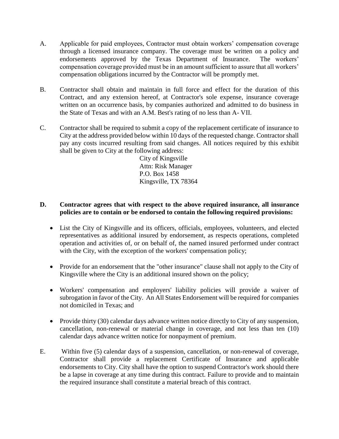- A. Applicable for paid employees, Contractor must obtain workers' compensation coverage through a licensed insurance company. The coverage must be written on a policy and endorsements approved by the Texas Department of Insurance. The workers' compensation coverage provided must be in an amount sufficient to assure that all workers' compensation obligations incurred by the Contractor will be promptly met.
- B. Contractor shall obtain and maintain in full force and effect for the duration of this Contract, and any extension hereof, at Contractor's sole expense, insurance coverage written on an occurrence basis, by companies authorized and admitted to do business in the State of Texas and with an A.M. Best's rating of no less than A- VII.
- C. Contractor shall be required to submit a copy of the replacement certificate of insurance to City at the address provided below within 10 days of the requested change. Contractor shall pay any costs incurred resulting from said changes. All notices required by this exhibit shall be given to City at the following address:

City of Kingsville Attn: Risk Manager P.O. Box 1458 Kingsville, TX 78364

#### **D. Contractor agrees that with respect to the above required insurance, all insurance policies are to contain or be endorsed to contain the following required provisions:**

- List the City of Kingsville and its officers, officials, employees, volunteers, and elected representatives as additional insured by endorsement, as respects operations, completed operation and activities of, or on behalf of, the named insured performed under contract with the City, with the exception of the workers' compensation policy;
- Provide for an endorsement that the "other insurance" clause shall not apply to the City of Kingsville where the City is an additional insured shown on the policy;
- Workers' compensation and employers' liability policies will provide a waiver of subrogation in favor of the City. An All States Endorsement will be required for companies not domiciled in Texas; and
- Provide thirty (30) calendar days advance written notice directly to City of any suspension, cancellation, non-renewal or material change in coverage, and not less than ten (10) calendar days advance written notice for nonpayment of premium.
- E. Within five (5) calendar days of a suspension, cancellation, or non-renewal of coverage, Contractor shall provide a replacement Certificate of Insurance and applicable endorsements to City. City shall have the option to suspend Contractor's work should there be a lapse in coverage at any time during this contract. Failure to provide and to maintain the required insurance shall constitute a material breach of this contract.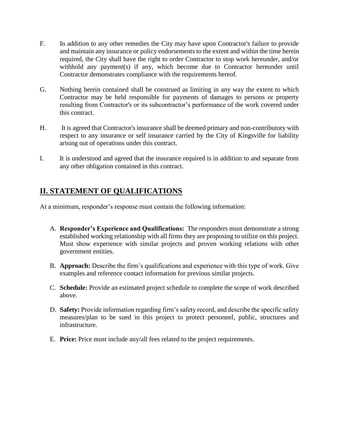- F. In addition to any other remedies the City may have upon Contractor's failure to provide and maintain any insurance or policy endorsements to the extent and within the time herein required, the City shall have the right to order Contractor to stop work hereunder, and/or withhold any payment(s) if any, which become due to Contractor hereunder until Contractor demonstrates compliance with the requirements hereof.
- G. Nothing herein contained shall be construed as limiting in any way the extent to which Contractor may be held responsible for payments of damages to persons or property resulting from Contractor's or its subcontractor's performance of the work covered under this contract.
- H. It is agreed that Contractor's insurance shall be deemed primary and non-contributory with respect to any insurance or self insurance carried by the City of Kingsville for liability arising out of operations under this contract.
- I. It is understood and agreed that the insurance required is in addition to and separate from any other obligation contained in this contract.

### **II. STATEMENT OF QUALIFICATIONS**

At a minimum, responder's response must contain the following information:

- A. **Responder's Experience and Qualifications:** The responders must demonstrate a strong established working relationship with all firms they are proposing to utilize on this project. Must show experience with similar projects and proven working relations with other government entities.
- B. **Approach:** Describe the firm's qualifications and experience with this type of work. Give examples and reference contact information for previous similar projects.
- C. **Schedule:** Provide an estimated project schedule to complete the scope of work described above.
- D. **Safety:** Provide information regarding firm's safety record, and describe the specific safety measures/plan to be sued in this project to protect personnel, public, structures and infrastructure.
- E. **Price:** Price must include any/all fees related to the project requirements.